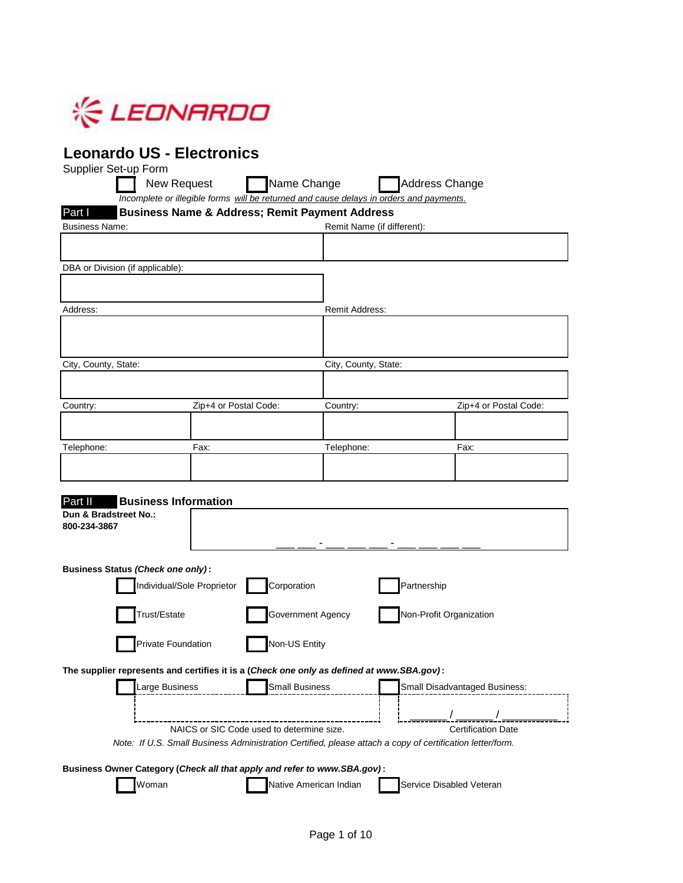

## **Leonardo US - Electronics**

| Part I                                   |                             | <b>Business Name &amp; Address; Remit Payment Address</b>                                                          |                                      |  |
|------------------------------------------|-----------------------------|--------------------------------------------------------------------------------------------------------------------|--------------------------------------|--|
| <b>Business Name:</b>                    |                             |                                                                                                                    | Remit Name (if different):           |  |
|                                          |                             |                                                                                                                    |                                      |  |
| DBA or Division (if applicable):         |                             |                                                                                                                    |                                      |  |
|                                          |                             |                                                                                                                    |                                      |  |
| Address:                                 |                             | Remit Address:                                                                                                     |                                      |  |
|                                          |                             |                                                                                                                    |                                      |  |
|                                          |                             |                                                                                                                    |                                      |  |
| City, County, State:                     |                             | City, County, State:                                                                                               |                                      |  |
|                                          |                             |                                                                                                                    |                                      |  |
| Country:                                 | Zip+4 or Postal Code:       | Country:                                                                                                           | Zip+4 or Postal Code:                |  |
|                                          |                             |                                                                                                                    |                                      |  |
| Telephone:                               | Fax:                        | Telephone:                                                                                                         | Fax:                                 |  |
|                                          |                             |                                                                                                                    |                                      |  |
|                                          |                             |                                                                                                                    |                                      |  |
| Part II                                  | <b>Business Information</b> |                                                                                                                    |                                      |  |
| Dun & Bradstreet No.:<br>800-234-3867    |                             |                                                                                                                    |                                      |  |
|                                          |                             |                                                                                                                    |                                      |  |
| <b>Business Status (Check one only):</b> |                             |                                                                                                                    |                                      |  |
| Individual/Sole Proprietor               |                             | Corporation                                                                                                        | Partnership                          |  |
|                                          |                             | Government Agency                                                                                                  |                                      |  |
|                                          | Trust/Estate                |                                                                                                                    | Non-Profit Organization              |  |
|                                          |                             |                                                                                                                    |                                      |  |
|                                          | Private Foundation          | Non-US Entity                                                                                                      |                                      |  |
|                                          |                             |                                                                                                                    |                                      |  |
|                                          | Large Business              | The supplier represents and certifies it is a (Check one only as defined at www.SBA.gov):<br><b>Small Business</b> | <b>Small Disadvantaged Business:</b> |  |
|                                          |                             |                                                                                                                    |                                      |  |
|                                          |                             | NAICS or SIC Code used to determine size.                                                                          | <b>Certification Date</b>            |  |